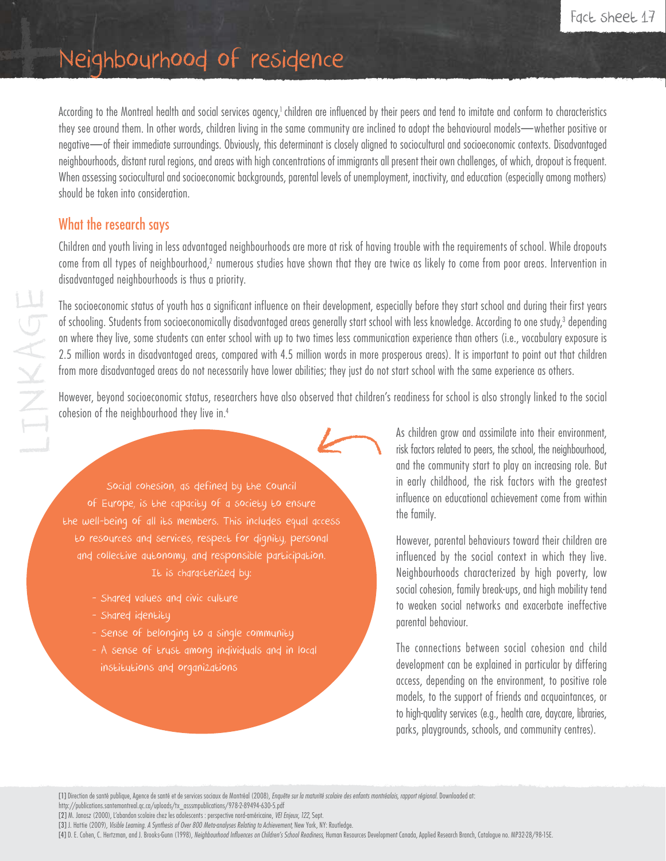# Neighbourhood of residence

According to the Montreal health and social services agency,<sup>1</sup> children are influenced by their peers and tend to imitate and conform to characteristics they see around them. In other words, children living in the same community are inclined to adopt the behavioural models—whether positive or negative—of their immediate surroundings. Obviously, this determinant is closely aligned to sociocultural and socioeconomic contexts. Disadvantaged neighbourhoods, distant rural regions, and areas with high concentrations of immigrants all present their own challenges, of which, dropout is frequent. When assessing sociocultural and socioeconomic backgrounds, parental levels of unemployment, inactivity, and education (especially among mothers) should be taken into consideration.

## What the research says

Children and youth living in less advantaged neighbourhoods are more at risk of having trouble with the requirements of school. While dropouts come from all types of neighbourhood,<sup>2</sup> numerous studies have shown that they are twice as likely to come from poor areas. Intervention in disadvantaged neighbourhoods is thus a priority.

The socioeconomic status of youth has a significant influence on their development, especially before they start school and during their first years of schooling. Students from socioeconomically disadvantaged areas generally start school with less knowledge. According to one study,<sup>3</sup> depending on where they live, some students can enter school with up to two times less communication experience than others (i.e., vocabulary exposure is 2.5 million words in disadvantaged areas, compared with 4.5 million words in more prosperous areas). It is important to point out that children from more disadvantaged areas do not necessarily have lower abilities; they just do not start school with the same experience as others.

However, beyond socioeconomic status, researchers have also observed that children's readiness for school is also strongly linked to the social cohesion of the neighbourhood they live in.4

Social cohesion, as defined by the Council of Europe, is the capacity of a society to ensure the well-being of all its members. This includes equal access to resources and services, respect for dignity, personal and collective autonomy, and responsible participation. It is characterized by:

- Shared values and civic culture
- Shared identity
- Sense of belonging to a single community
- A sense of trust among individuals and in local institutions and organizations

As children grow and assimilate into their environment, risk factors related to peers, the school, the neighbourhood, and the community start to play an increasing role. But in early childhood, the risk factors with the greatest influence on educational achievement come from within the family.

However, parental behaviours toward their children are influenced by the social context in which they live. Neighbourhoods characterized by high poverty, low social cohesion, family break-ups, and high mobility tend to weaken social networks and exacerbate ineffective parental behaviour.

The connections between social cohesion and child development can be explained in particular by differing access, depending on the environment, to positive role models, to the support of friends and acquaintances, or to high-quality services (e.g., health care, daycare, libraries, parks, playgrounds, schools, and community centres).

[1] Direction de santé publique, Agence de santé et de services sociaux de Montréal (2008), *Enquête sur la maturité scolaire des enfants montréalais, rapport régional.* Downloaded at:

http://publications.santemontreal.qc.ca/uploads/tx\_asssmpublications/978-2-89494-630-5.pdf

[2] M. Janosz (2000), L'abandon scolaire chez les adolescents : perspective nord-américaine, *VEI Enjeux, 122*, Sept.

[3] J. Hattie (2009), *Visible Learning. A Synthesis of Over 800 Meta-analyses Relating to Achievement*, New York, NY: Routledge.

[4] D. E. Cohen, C. Hertzman, and J. Brooks-Gunn (1998), *Neighbourhood Influences on Children's School Readiness*, Human Resources Development Canada, Applied Research Branch, Catalogue no. MP32-28/98-15E.